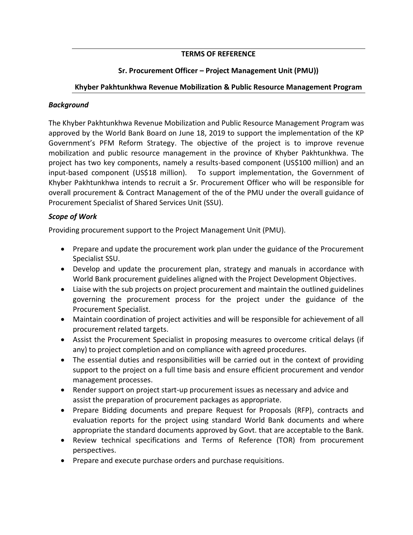### **TERMS OF REFERENCE**

## **Sr. Procurement Officer – Project Management Unit (PMU))**

#### **Khyber Pakhtunkhwa Revenue Mobilization & Public Resource Management Program**

#### *Background*

The Khyber Pakhtunkhwa Revenue Mobilization and Public Resource Management Program was approved by the World Bank Board on June 18, 2019 to support the implementation of the KP Government's PFM Reform Strategy. The objective of the project is to improve revenue mobilization and public resource management in the province of Khyber Pakhtunkhwa. The project has two key components, namely a results-based component (US\$100 million) and an input-based component (US\$18 million). To support implementation, the Government of Khyber Pakhtunkhwa intends to recruit a Sr. Procurement Officer who will be responsible for overall procurement & Contract Management of the of the PMU under the overall guidance of Procurement Specialist of Shared Services Unit (SSU).

#### *Scope of Work*

Providing procurement support to the Project Management Unit (PMU).

- Prepare and update the procurement work plan under the guidance of the Procurement Specialist SSU.
- Develop and update the procurement plan, strategy and manuals in accordance with World Bank procurement guidelines aligned with the Project Development Objectives.
- Liaise with the sub projects on project procurement and maintain the outlined guidelines governing the procurement process for the project under the guidance of the Procurement Specialist.
- Maintain coordination of project activities and will be responsible for achievement of all procurement related targets.
- Assist the Procurement Specialist in proposing measures to overcome critical delays (if any) to project completion and on compliance with agreed procedures.
- The essential duties and responsibilities will be carried out in the context of providing support to the project on a full time basis and ensure efficient procurement and vendor management processes.
- Render support on project start-up procurement issues as necessary and advice and assist the preparation of procurement packages as appropriate.
- Prepare Bidding documents and prepare Request for Proposals (RFP), contracts and evaluation reports for the project using standard World Bank documents and where appropriate the standard documents approved by Govt. that are acceptable to the Bank.
- Review technical specifications and Terms of Reference (TOR) from procurement perspectives.
- Prepare and execute purchase orders and purchase requisitions.